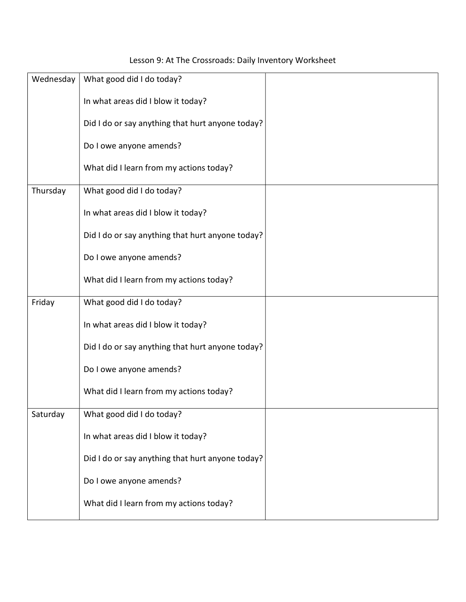## Lesson 9: At The Crossroads: Daily Inventory Worksheet

| Wednesday | What good did I do today?                        |  |
|-----------|--------------------------------------------------|--|
|           | In what areas did I blow it today?               |  |
|           | Did I do or say anything that hurt anyone today? |  |
|           | Do I owe anyone amends?                          |  |
|           | What did I learn from my actions today?          |  |
| Thursday  | What good did I do today?                        |  |
|           | In what areas did I blow it today?               |  |
|           | Did I do or say anything that hurt anyone today? |  |
|           | Do I owe anyone amends?                          |  |
|           | What did I learn from my actions today?          |  |
| Friday    | What good did I do today?                        |  |
|           | In what areas did I blow it today?               |  |
|           | Did I do or say anything that hurt anyone today? |  |
|           | Do I owe anyone amends?                          |  |
|           | What did I learn from my actions today?          |  |
| Saturday  | What good did I do today?                        |  |
|           | In what areas did I blow it today?               |  |
|           | Did I do or say anything that hurt anyone today? |  |
|           | Do I owe anyone amends?                          |  |
|           | What did I learn from my actions today?          |  |